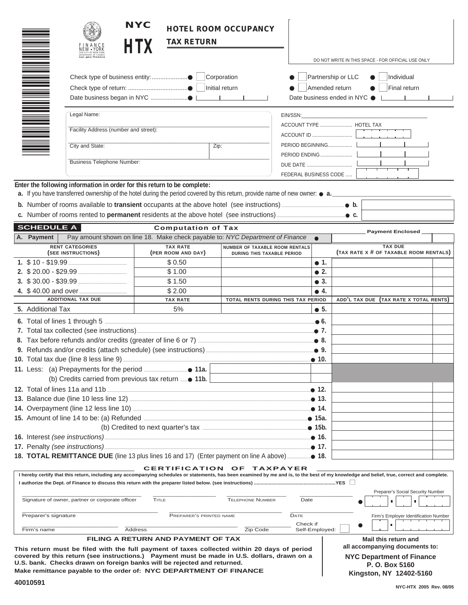|                                                      |                                                                     | FINANCE<br>NEW • YORK                                | <b>NYC</b><br><b>TAX RETURN</b>                                                                                                                                                                                                                                                                                  | <b>HOTEL ROOM OCCUPANCY</b>                                         |                                                                                                                         |  | DO NOT WRITE IN THIS SPACE - FOR OFFICIAL USE ONLY       |  |
|------------------------------------------------------|---------------------------------------------------------------------|------------------------------------------------------|------------------------------------------------------------------------------------------------------------------------------------------------------------------------------------------------------------------------------------------------------------------------------------------------------------------|---------------------------------------------------------------------|-------------------------------------------------------------------------------------------------------------------------|--|----------------------------------------------------------|--|
|                                                      | Corporation<br>Check type of business entity: ● L<br>Initial return |                                                      |                                                                                                                                                                                                                                                                                                                  |                                                                     | Partnership or LLC<br>Individual<br>Amended return<br>Final return<br>Date business ended in NYC ● Letter Letter Letter |  |                                                          |  |
| Legal Name:<br>Facility Address (number and street): |                                                                     |                                                      |                                                                                                                                                                                                                                                                                                                  |                                                                     | EIN/SSN: EIN/SSN:<br>ACCOUNT TYPE  HOTEL TAX                                                                            |  |                                                          |  |
|                                                      |                                                                     | City and State:<br><b>Business Telephone Number:</b> |                                                                                                                                                                                                                                                                                                                  | Zip:                                                                | FEDERAL BUSINESS CODE                                                                                                   |  |                                                          |  |
|                                                      |                                                                     |                                                      | Enter the following information in order for this return to be complete:<br>a. If you have transferred ownership of the hotel during the period covered by this return, provide name of new owner: $\bullet$ a.<br>c. Number of rooms rented to <b>permanent</b> residents at the above hotel (see instructions) |                                                                     |                                                                                                                         |  | $\bullet$ C.                                             |  |
|                                                      | <b>SCHEDULE A</b>                                                   |                                                      | <b>Computation of Tax</b>                                                                                                                                                                                                                                                                                        |                                                                     |                                                                                                                         |  | <b>Payment Enclosed</b>                                  |  |
|                                                      | A. Payment                                                          |                                                      | Pay amount shown on line 18. Make check payable to: NYC Department of Finance                                                                                                                                                                                                                                    |                                                                     | $\bullet$                                                                                                               |  |                                                          |  |
|                                                      |                                                                     | <b>RENT CATEGORIES</b><br>(SEE INSTRUCTIONS)         | <b>TAX RATE</b><br>(PER ROOM AND DAY)                                                                                                                                                                                                                                                                            | NUMBER OF TAXABLE ROOM RENTALS<br><b>DURING THIS TAXABLE PERIOD</b> |                                                                                                                         |  | <b>TAX DUE</b><br>(TAX RATE X # OF TAXABLE ROOM RENTALS) |  |
|                                                      |                                                                     |                                                      | \$0.50                                                                                                                                                                                                                                                                                                           |                                                                     | $\bullet$ 1.                                                                                                            |  |                                                          |  |
|                                                      |                                                                     |                                                      | \$1.00                                                                                                                                                                                                                                                                                                           |                                                                     | $\bullet$ 2.                                                                                                            |  |                                                          |  |
|                                                      |                                                                     |                                                      | \$1.50                                                                                                                                                                                                                                                                                                           |                                                                     | $\bullet$ 3.                                                                                                            |  |                                                          |  |
|                                                      |                                                                     |                                                      | \$2.00                                                                                                                                                                                                                                                                                                           |                                                                     | $\bullet$ 4.                                                                                                            |  |                                                          |  |
|                                                      |                                                                     | <b>ADDITIONAL TAX DUE</b>                            | <b>TAX RATE</b>                                                                                                                                                                                                                                                                                                  | TOTAL RENTS DURING THIS TAX PERIOD                                  |                                                                                                                         |  | ADD'L TAX DUE (TAX RATE X TOTAL RENTS)                   |  |
|                                                      | 5. Additional Tax                                                   |                                                      | 5%                                                                                                                                                                                                                                                                                                               |                                                                     | $\bullet$ 5.                                                                                                            |  |                                                          |  |
|                                                      |                                                                     |                                                      | .● 6.<br>.● 7.                                                                                                                                                                                                                                                                                                   |                                                                     |                                                                                                                         |  |                                                          |  |
|                                                      |                                                                     |                                                      |                                                                                                                                                                                                                                                                                                                  |                                                                     |                                                                                                                         |  |                                                          |  |
|                                                      |                                                                     |                                                      |                                                                                                                                                                                                                                                                                                                  |                                                                     |                                                                                                                         |  |                                                          |  |
|                                                      |                                                                     |                                                      |                                                                                                                                                                                                                                                                                                                  |                                                                     |                                                                                                                         |  |                                                          |  |
|                                                      |                                                                     |                                                      | (b) Credits carried from previous tax return $\ldots$ 11b.                                                                                                                                                                                                                                                       |                                                                     |                                                                                                                         |  |                                                          |  |
|                                                      |                                                                     |                                                      |                                                                                                                                                                                                                                                                                                                  |                                                                     |                                                                                                                         |  |                                                          |  |
|                                                      |                                                                     |                                                      |                                                                                                                                                                                                                                                                                                                  |                                                                     |                                                                                                                         |  |                                                          |  |
|                                                      |                                                                     |                                                      |                                                                                                                                                                                                                                                                                                                  |                                                                     |                                                                                                                         |  |                                                          |  |
|                                                      |                                                                     |                                                      |                                                                                                                                                                                                                                                                                                                  |                                                                     |                                                                                                                         |  |                                                          |  |
|                                                      |                                                                     |                                                      |                                                                                                                                                                                                                                                                                                                  |                                                                     |                                                                                                                         |  |                                                          |  |
|                                                      |                                                                     |                                                      |                                                                                                                                                                                                                                                                                                                  |                                                                     |                                                                                                                         |  |                                                          |  |
|                                                      |                                                                     |                                                      |                                                                                                                                                                                                                                                                                                                  |                                                                     |                                                                                                                         |  |                                                          |  |
|                                                      |                                                                     |                                                      | 18. <b>TOTAL REMITTANCE DUE</b> (line 13 plus lines 16 and 17) (Enter payment on line A above) <b>18.</b>                                                                                                                                                                                                        |                                                                     |                                                                                                                         |  |                                                          |  |
|                                                      |                                                                     |                                                      | <b>CERTIFICATION OF TAXPAYER</b><br>I hereby certify that this return, including any accompanying schedules or statements, has been examined by me and is, to the best of my knowledge and belief, true, correct and complete.                                                                                   |                                                                     |                                                                                                                         |  | Preparer's Social Security Number                        |  |
|                                                      |                                                                     | Signature of owner, partner or corporate officer     | TITLE                                                                                                                                                                                                                                                                                                            | <b>TELEPHONE NUMBER</b>                                             | Date                                                                                                                    |  |                                                          |  |

# Firm's name **Address** Address **Zip Code** Check if Self-Employed: ■ <u>Zip Code</u> Self-Employed: ■ **FILING A RETURN AND PAYMENT OF TAX**

Preparer's signature **PREPARER'S PRINTED NAME DATE**  $\blacksquare$ 

**This return must be filed with the full payment of taxes collected within 20 days of period covered by this return (see instructions.) Payment must be made in U.S. dollars, drawn on a U.S. bank. Checks drawn on foreign banks will be rejected and returned. Make remittance payable to the order of: NYC DEPARTMENT OF FINANCE**

**Mail this return and all accompanying documents to: NYC Department of Finance P. O. Box 5160 Kingston, NY 12402-5160**

 $\blacksquare$ 

●

Firm's Employer Identification Number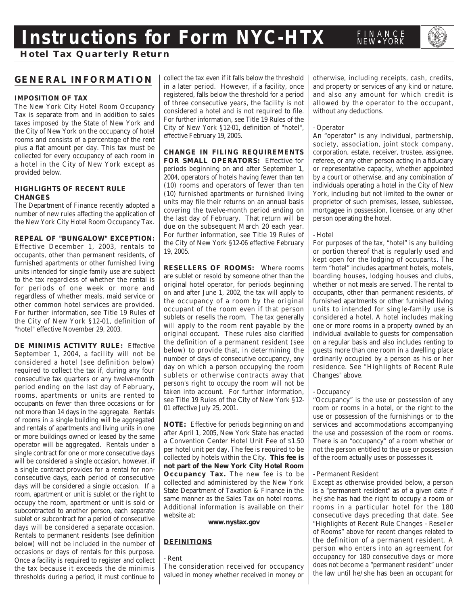# **Instructions for Form NYC-HTX**

# **GENERAL INFORMATION**

# **IMPOSITION OF TAX**

The New York City Hotel Room Occupancy Tax is separate from and in addition to sales taxes imposed by the State of New York and the City of New York on the occupancy of hotel rooms and consists of a percentage of the rent plus a flat amount per day. This tax must be collected for every occupancy of each room in a hotel in the City of New York except as provided below.

# **HIGHLIGHTS OF RECENT RULE CHANGES**

The Department of Finance recently adopted a number of new rules affecting the application of the New York City Hotel Room Occupancy Tax.

**REPEAL OF "BUNGALOW" EXCEPTION:** Effective December 1, 2003, rentals to occupants, other than permanent residents, of furnished apartments or other furnished living units intended for single family use are subject to the tax regardless of whether the rental is for periods of one week or more and regardless of whether meals, maid service or other common hotel services are provided. For further information, see Title 19 Rules of the City of New York §12-01, definition of "hotel" effective November 29, 2003.

**DE MINIMIS ACTIVITY RULE:** Effective September 1, 2004, a facility will not be considered a hotel (see definition below) required to collect the tax if, during any four consecutive tax quarters or any twelve-month period ending on the last day of February, rooms, apartments or units are rented to occupants on fewer than three occasions or for not more than 14 days in the aggregate. Rentals of rooms in a single building will be aggregated and rentals of apartments and living units in one or more buildings owned or leased by the same operator will be aggregated. Rentals under a single contract for one or more consecutive days will be considered a single occasion, however, if a single contract provides for a rental for nonconsecutive days, each period of consecutive days will be considered a single occasion. If a room, apartment or unit is sublet or the right to occupy the room, apartment or unit is sold or subcontracted to another person, each separate sublet or subcontract for a period of consecutive days will be considered a separate occasion. Rentals to permanent residents (see definition below) will not be included in the number of occasions or days of rentals for this purpose. Once a facility is required to register and collect the tax because it exceeds the de minimis thresholds during a period, it must continue to collect the tax even if it falls below the threshold in a later period. However, if a facility, once registered, falls below the threshold for a period of three consecutive years, the facility is not considered a hotel and is not required to file. For further information, see Title 19 Rules of the City of New York §12-01, definition of "hotel", effective February 19, 2005.

# **CHANGE IN FILING REQUIREMENTS**

**FOR SMALL OPERATORS:** Effective for periods beginning on and after September 1, 2004, operators of hotels having fewer than ten (10) rooms and operators of fewer than ten (10) furnished apartments or furnished living units may file their returns on an annual basis covering the twelve-month period ending on the last day of February. That return will be due on the subsequent March 20 each year. For further information, see Title 19 Rules of the City of New York §12-06 effective February 19, 2005.

**RESELLERS OF ROOMS:** Where rooms are sublet or resold by someone other than the original hotel operator, for periods beginning on and after June 1, 2002, the tax will apply to the occupancy of a room by the original occupant of the room even if that person sublets or resells the room. The tax generally will apply to the room rent payable by the original occupant. These rules also clarified the definition of a permanent resident (see below) to provide that, in determining the number of days of consecutive occupancy, any day on which a person occupying the room sublets or otherwise contracts away that person's right to occupy the room will not be taken into account. For further information, see Title 19 Rules of the City of New York §12- 01 effective July 25, 2001.

**NOTE:** Effective for periods beginning on and after April 1, 2005, New York State has enacted a Convention Center Hotel Unit Fee of \$1.50 per hotel unit per day. The fee is required to be collected by hotels within the City. **This fee is not part of the New York City Hotel Room Occupancy Tax.** The new fee is to be collected and administered by the New York State Department of Taxation & Finance in the same manner as the Sales Tax on hotel rooms. Additional information is available on their website at:

#### **www.nystax.gov**

# **DEFINITIONS**

# - Rent

The consideration received for occupancy valued in money whether received in money or otherwise, including receipts, cash, credits, and property or services of any kind or nature, and also any amount for which credit is allowed by the operator to the occupant, without any deductions.

FINANCE<br>NEW • YORK

# - Operator

An "operator" is any individual, partnership, society, association, joint stock company, corporation, estate, receiver, trustee, assignee, referee, or any other person acting in a fiduciary or representative capacity, whether appointed by a court or otherwise, and any combination of individuals operating a hotel in the City of New York, including but not limited to the owner or proprietor of such premises, lessee, sublessee, mortgagee in possession, licensee, or any other person operating the hotel.

#### - Hotel

For purposes of the tax, "hotel" is any building or portion thereof that is regularly used and kept open for the lodging of occupants. The term "hotel" includes apartment hotels, motels, boarding houses, lodging houses and clubs, whether or not meals are served. The rental to occupants, other than permanent residents, of furnished apartments or other furnished living units to intended for single-family use is considered a hotel. A hotel includes making one or more rooms in a property owned by an individual available to guests for compensation on a regular basis and also includes renting to guests more than one room in a dwelling place ordinarily occupied by a person as his or her residence. See "Highlights of Recent Rule Changes" above.

# - Occupancy

"Occupancy" is the use or possession of any room or rooms in a hotel, or the right to the use or possession of the furnishings or to the services and accommodations accompanying the use and possession of the room or rooms. There is an "occupancy" of a room whether or not the person entitled to the use or possession of the room actually uses or possesses it.

# - Permanent Resident

Except as otherwise provided below, a person is a "permanent resident" as of a given date if he/she has had the right to occupy a room or rooms in a particular hotel for the 180 consecutive days preceding that date. See "Highlights of Recent Rule Changes - Reseller of Rooms" above for recent changes related to the definition of a permanent resident. A person who enters into an agreement for occupancy for 180 consecutive days or more does not become a "permanent resident" under the law until he/she has been an occupant for

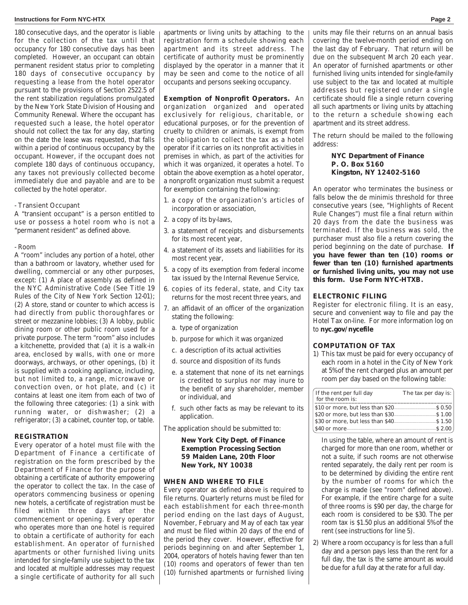#### **Instructions for Form NYC-HTX Page 2**

180 consecutive days, and the operator is liable for the collection of the tax until that occupancy for 180 consecutive days has been completed. However, an occupant can obtain permanent resident status prior to completing 180 days of consecutive occupancy by requesting a lease from the hotel operator pursuant to the provisions of Section 2522.5 of the rent stabilization regulations promulgated by the New York State Division of Housing and Community Renewal. Where the occupant has requested such a lease, the hotel operator should not collect the tax for any day, starting on the date the lease was requested, that falls within a period of continuous occupancy by the occupant. However, if the occupant does not complete 180 days of continuous occupancy, any taxes not previously collected become immediately due and payable and are to be collected by the hotel operator.

# - Transient Occupant

A "transient occupant" is a person entitled to use or possess a hotel room who is not a "permanent resident" as defined above.

- Room

A "room" includes any portion of a hotel, other than a bathroom or lavatory, whether used for dwelling, commercial or any other purposes, except: (1) A place of assembly as defined in the NYC Administrative Code (See Title 19 Rules of the City of New York Section 12-01); (2) A store, stand or counter to which access is had directly from public thoroughfares or street or mezzanine lobbies; (3) A lobby, public dining room or other public room used for a private purpose. The term "room" also includes a kitchenette, provided that (a) it is a walk-in area, enclosed by walls, with one or more doorways, archways, or other openings, (b) it is supplied with a cooking appliance, including, but not limited to, a range, microwave or convection oven, or hot plate, and (c) it contains at least one item from each of two of the following three categories: (1) a sink with running water, or dishwasher; (2) a refrigerator; (3) a cabinet, counter top, or table.

#### **REGISTRATION**

Every operator of a hotel must file with the Department of Finance a certificate of registration on the form prescribed by the Department of Finance for the purpose of obtaining a certificate of authority empowering the operator to collect the tax. In the case of operators commencing business or opening new hotels, a certificate of registration must be filed within three days after the commencement or opening. Every operator who operates more than one hotel is required to obtain a certificate of authority for each establishment. An operator of furnished apartments or other furnished living units intended for single-family use subject to the tax and located at multiple addresses may request a single certificate of authority for all such

apartments or living units by attaching to the registration form a schedule showing each apartment and its street address. The certificate of authority must be prominently displayed by the operator in a manner that it may be seen and come to the notice of all occupants and persons seeking occupancy.

## **Exemption of Nonprofit Operators.** An

organization organized and operated exclusively for religious, charitable, or educational purposes, or for the prevention of cruelty to children or animals, is exempt from the obligation to collect the tax as a hotel operator if it carries on its nonprofit activities in premises in which, as part of the activities for which it was organized, it operates a hotel. To obtain the above exemption as a hotel operator, a nonprofit organization must submit a request for exemption containing the following:

- 1. a copy of the organization's articles of incorporation or association,
- 2. a copy of its by-laws,
- 3. a statement of receipts and disbursements for its most recent year,
- 4. a statement of its assets and liabilities for its most recent year,
- 5. a copy of its exemption from federal income tax issued by the Internal Revenue Service,
- 6. copies of its federal, state, and City tax returns for the most recent three years, and
- 7. an affidavit of an officer of the organization stating the following:
	- a. type of organization
	- b. purpose for which it was organized
	- c. a description of its actual activities
	- d. source and disposition of its funds
	- e. a statement that none of its net earnings is credited to surplus nor may inure to the benefit of any shareholder, member or individual, and
	- f. such other facts as may be relevant to its application.

The application should be submitted to:

**New York City Dept. of Finance Exemption Processing Section 59 Maiden Lane, 20th Floor New York, NY 10038**

#### **WHEN AND WHERE TO FILE**

Every operator as defined above is required to file returns. Quarterly returns must be filed for each establishment for each three-month period ending on the last days of August, November, February and May of each tax year and must be filed within 20 days of the end of the period they cover. However, effective for periods beginning on and after September 1, 2004, operators of hotels having fewer than ten (10) rooms and operators of fewer than ten (10) furnished apartments or furnished living units may file their returns on an annual basis covering the twelve-month period ending on the last day of February. That return will be due on the subsequent March 20 each year. An operator of furnished apartments or other furnished living units intended for single-family use subject to the tax and located at multiple addresses but registered under a single certificate should file a single return covering all such apartments or living units by attaching to the return a schedule showing each apartment and its street address.

The return should be mailed to the following address:

## **NYC Department of Finance P. O. Box 5160 Kingston, NY 12402-5160**

An operator who terminates the business or falls below the de minimis threshold for three consecutive years (see, "Highlights of Recent Rule Changes") must file a final return within 20 days from the date the business was terminated. If the business was sold, the purchaser must also file a return covering the period beginning on the date of purchase. **If you have fewer than ten (10) rooms or fewer than ten (10) furnished apartments or furnished living units, you may not use this form. Use Form NYC-HTXB.**

#### **ELECTRONIC FILING**

Register for electronic filing. It is an easy, secure and convenient way to file and pay the Hotel Tax on-line. For more information log on to **nyc.gov/nycefile**

## **COMPUTATION OF TAX**

1) This tax must be paid for every occupancy of each room in a hotel in the City of New York at 5% of the rent charged plus an amount per room per day based on the following table:

| If the rent per full day<br>for the room is: | The tax per day is: |  |  |  |
|----------------------------------------------|---------------------|--|--|--|
|                                              |                     |  |  |  |
|                                              |                     |  |  |  |
|                                              |                     |  |  |  |
| \$40 or more                                 | S. 2.00             |  |  |  |

In using the table, where an amount of rent is charged for more than one room, whether or not a suite, if such rooms are not otherwise rented separately, the daily rent per room is to be determined by dividing the entire rent by the number of rooms for which the charge is made (see "room" defined above). For example, if the entire charge for a suite of three rooms is \$90 per day, the charge for each room is considered to be \$30. The per room tax is \$1.50 plus an additional 5% of the rent (see instructions for line 5).

2) Where a room occupancy is for less than a full day and a person pays less than the rent for a full day, the tax is the same amount as would be due for a full day at the rate for a full day.